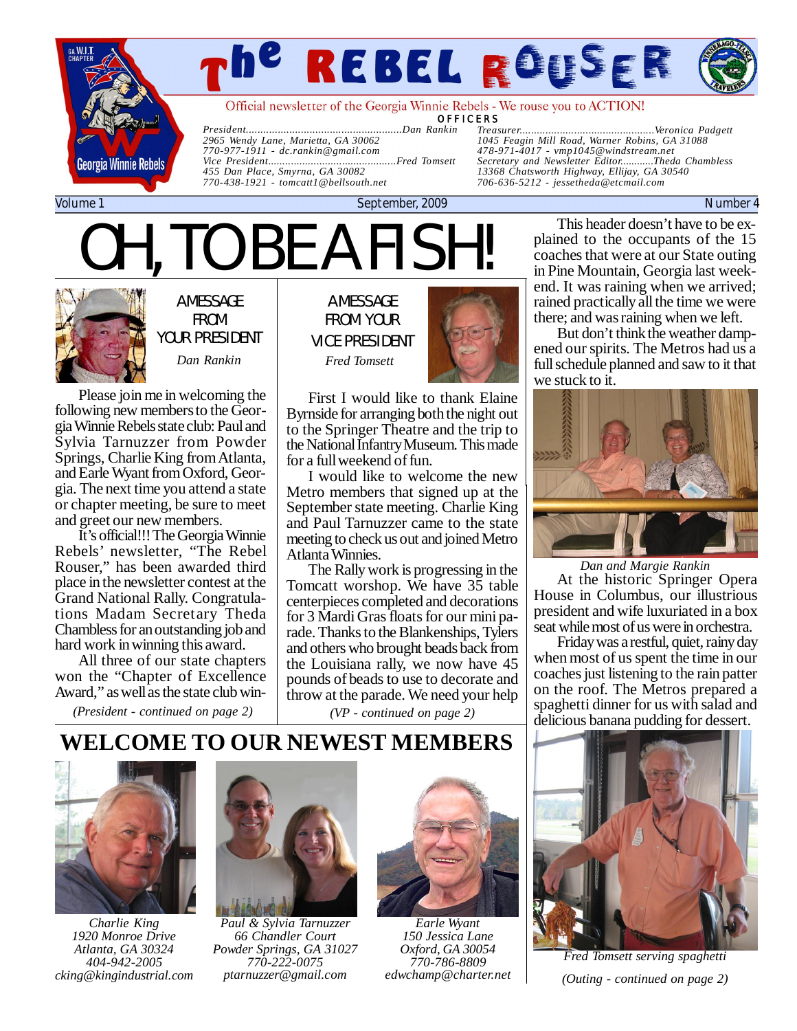

# *The Rebel Rouser Page*

Official newsletter of the Georgia Winnie Rebels - We rouse you to ACTION!

**OFFICERS** 

*President......................................................Dan Rankin 2965 Wendy Lane, Marietta, GA 30062 770-977-1911 - [dc.rankin@gmail.com](mailto:dc.rankin@gmail.com) Vice President.............................................Fred Tomsett 455 Dan Place, Smyrna, GA 30082 770-438-1921 - [tomcatt1@bellsouth.net](mailto:tomcatt1@bellsouth.net)*

*Treasurer...............................................Veronica Padgett 1045 Feagin Mill Road, Warner Robins, GA 31088 478-971-4017 - [vmp1045@windstream.net](mailto:vmp1045@windstream.net) Secretary and Newsletter Editor............Theda Chambless 13368 Chatsworth Highway, Ellijay, GA 30540 706-636-5212 - [jessetheda@etcmail.com](mailto:jessetheda@etcmail.com)*

Volume 1 September, 2009 Number 4

# OH, TO BE A FISH!



A MESSAGE FROM YOUR PRESIDENT

Please join me in welcoming the following new members to the Georgia Winnie Rebels state club: Paul and Sylvia Tarnuzzer from Powder Springs, Charlie King from Atlanta, and Earle Wyant from Oxford, Georgia. The next time you attend a state or chapter meeting, be sure to meet and greet our new members.

It's official!!! The Georgia Winnie Rebels' newsletter, "The Rebel Rouser," has been awarded third place in the newsletter contest at the Grand National Rally. Congratulations Madam Secretary Theda Chambless for an outstanding job and hard work in winning this award.

All three of our state chapters won the "Chapter of Excellence Award," as well as the state club win-

*(President - continued on page 2)*

A MESSAGE FROM YOUR VICE PRESIDENT *Dan Rankin Fred Tomsett*



First I would like to thank Elaine Byrnside for arranging both the night out to the Springer Theatre and the trip to the National Infantry Museum. This made for a full weekend of fun.

I would like to welcome the new Metro members that signed up at the September state meeting. Charlie King and Paul Tarnuzzer came to the state meeting to check us out and joined Metro Atlanta Winnies.

The Rally work is progressing in the Tomcatt worshop. We have 35 table centerpieces completed and decorations for 3 Mardi Gras floats for our mini parade. Thanks to the Blankenships, Tylers and others who brought beads back from the Louisiana rally, we now have 45 pounds of beads to use to decorate and throw at the parade. We need your help

*(VP - continued on page 2)*

This header doesn't have to be explained to the occupants of the 15 coaches that were at our State outing in Pine Mountain, Georgia last weekend. It was raining when we arrived; rained practically all the time we were there; and was raining when we left.

But don't think the weather dampened our spirits. The Metros had us a full schedule planned and saw to it that we stuck to it.



At the historic Springer Opera House in Columbus, our illustrious president and wife luxuriated in a box seat while most of us were in orchestra. *Dan and Margie Rankin*

Friday was a restful, quiet, rainy day when most of us spent the time in our coaches just listening to the rain patter on the roof. The Metros prepared a spaghetti dinner for us with salad and delicious banana pudding for dessert.

## **WELCOME TO OUR NEWEST MEMBERS**



*Charlie King 1920 Monroe Drive Atlanta, GA 30324 404-942-2005 [cking@kingindustrial.com](mailto:cking@kingindustrial.com)*



*Paul & Sylvia Tarnuzzer 66 Chandler Court Powder Springs, GA 31027 770-222-0075 [ptarnuzzer@gmail.com](mailto:ptarnuzzer@gmail.com)*



*Earle Wyant 150 Jessica Lane Oxford, GA 30054 770-786-8809 [edwchamp@charter.net](mailto:edwchamp@charter.net)*



*Fred Tomsett serving spaghetti (Outing - continued on page 2)*